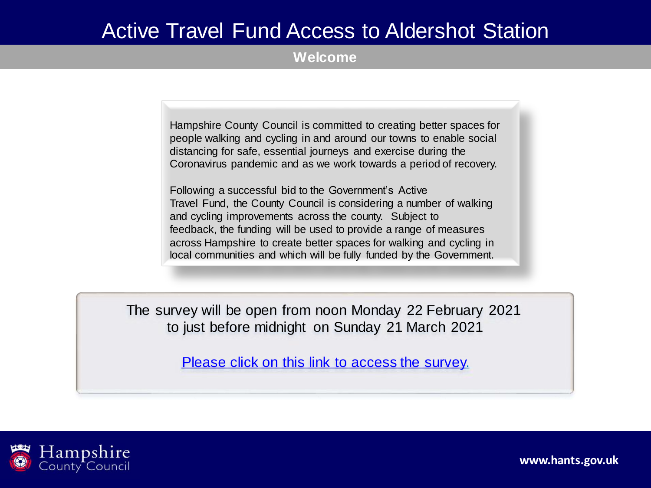### Active Travel Fund Access to Aldershot Station

**Welcome**

Hampshire County Council is committed to creating better spaces for people walking and cycling in and around our towns to enable social distancing for safe, essential journeys and exercise during the Coronavirus pandemic and as we work towards a period of recovery.

Following a successful bid to the Government's Active Travel Fund, the County Council is considering a number of walking and cycling improvements across the county. Subject to feedback, the funding will be used to provide a range of measures across Hampshire to create better spaces for walking and cycling in local communities and which will be fully funded by the Government.

The survey will be open from noon Monday 22 February 2021 to just before midnight on Sunday 21 March 2021

[Please click on this link to access the survey.](https://etehampshirecc.researchfeedback.net/s.asp?k=161348875166)

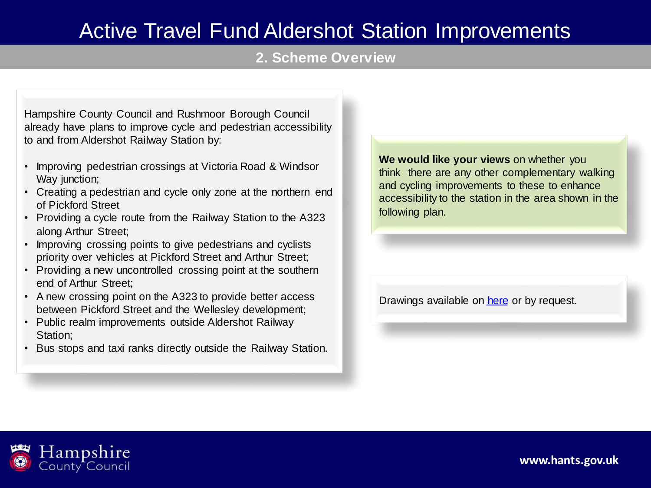### **2. Scheme Overview**

Hampshire County Council and Rushmoor Borough Council already have plans to improve cycle and pedestrian accessibility to and from Aldershot Railway Station by:

- Improving pedestrian crossings at Victoria Road & Windsor Way junction;
- Creating a pedestrian and cycle only zone at the northern end of Pickford Street
- Providing a cycle route from the Railway Station to the A323 along Arthur Street;
- Improving crossing points to give pedestrians and cyclists priority over vehicles at Pickford Street and Arthur Street;
- Providing a new uncontrolled crossing point at the southern end of Arthur Street;
- A new crossing point on the A323 to provide better access between Pickford Street and the Wellesley development;
- Public realm improvements outside Aldershot Railway Station;
- Bus stops and taxi ranks directly outside the Railway Station.

**We would like your views** on whether you think there are any other complementary walking and cycling improvements to these to enhance accessibility to the station in the area shown in the following plan.

Drawings available on [here](https://www.hants.gov.uk/transport/transportschemes/aldershotstation) or by request.

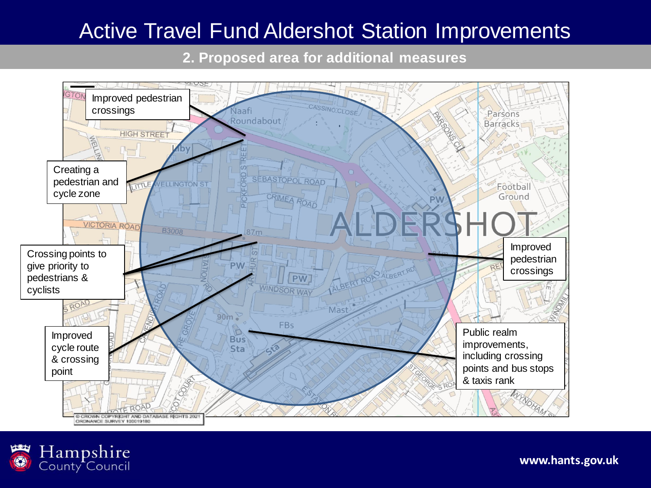**2. Proposed area for additional measures**



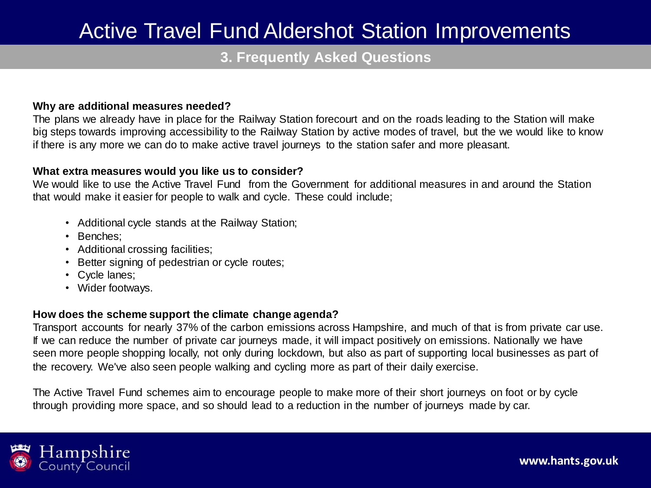### **3. Frequently Asked Questions**

#### **Why are additional measures needed?**

The plans we already have in place for the Railway Station forecourt and on the roads leading to the Station will make big steps towards improving accessibility to the Railway Station by active modes of travel, but the we would like to know if there is any more we can do to make active travel journeys to the station safer and more pleasant.

#### **What extra measures would you like us to consider?**

We would like to use the Active Travel Fund from the Government for additional measures in and around the Station that would make it easier for people to walk and cycle. These could include;

- Additional cycle stands at the Railway Station;
- Benches;
- Additional crossing facilities;
- Better signing of pedestrian or cycle routes;
- Cycle lanes;
- Wider footways.

#### **How does the scheme support the climate change agenda?**

Transport accounts for nearly 37% of the carbon emissions across Hampshire, and much of that is from private car use. If we can reduce the number of private car journeys made, it will impact positively on emissions. Nationally we have seen more people shopping locally, not only during lockdown, but also as part of supporting local businesses as part of the recovery. We've also seen people walking and cycling more as part of their daily exercise.

The Active Travel Fund schemes aim to encourage people to make more of their short journeys on foot or by cycle through providing more space, and so should lead to a reduction in the number of journeys made by car.

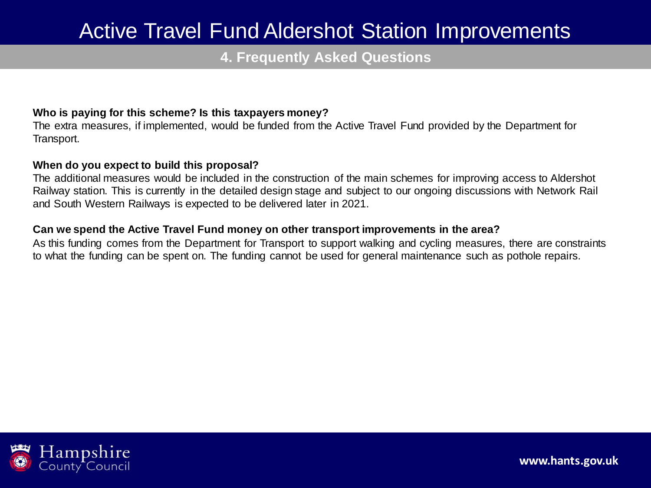### **4. Frequently Asked Questions**

### **Who is paying for this scheme? Is this taxpayers money?**

The extra measures, if implemented, would be funded from the Active Travel Fund provided by the Department for Transport.

#### **When do you expect to build this proposal?**

The additional measures would be included in the construction of the main schemes for improving access to Aldershot Railway station. This is currently in the detailed design stage and subject to our ongoing discussions with Network Rail and South Western Railways is expected to be delivered later in 2021.

#### **Can we spend the Active Travel Fund money on other transport improvements in the area?**

As this funding comes from the Department for Transport to support walking and cycling measures, there are constraints to what the funding can be spent on. The funding cannot be used for general maintenance such as pothole repairs.

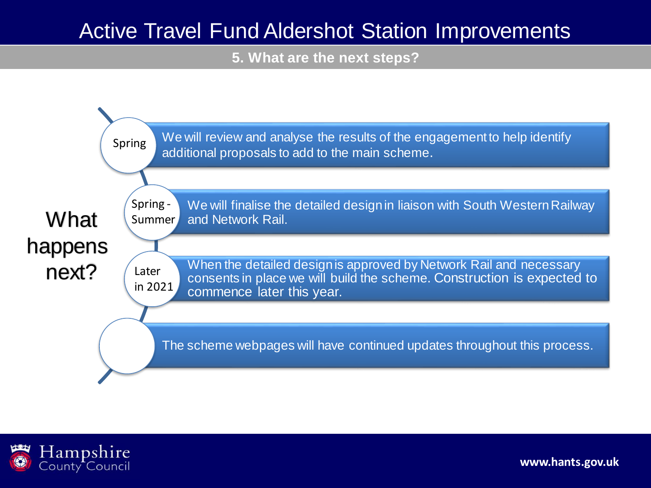**5. What are the next steps?**